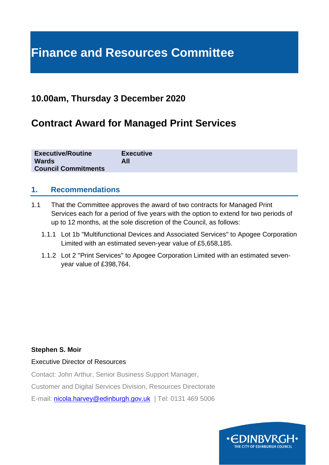# **Finance and Resources Committee**

# **10.00am, Thursday 3 December 2020**

# **Contract Award for Managed Print Services**

| <b>Executive/Routine</b>   | <b>Executive</b> |
|----------------------------|------------------|
| <b>Wards</b>               | All              |
| <b>Council Commitments</b> |                  |

## **1. Recommendations**

- 1.1 That the Committee approves the award of two contracts for Managed Print Services each for a period of five years with the option to extend for two periods of up to 12 months, at the sole discretion of the Council, as follows:
	- 1.1.1 Lot 1b "Multifunctional Devices and Associated Services" to Apogee Corporation Limited with an estimated seven-year value of £5,658,185.
	- 1.1.2 Lot 2 "Print Services" to Apogee Corporation Limited with an estimated sevenyear value of £398,764.

#### **Stephen S. Moir**

#### Executive Director of Resources

Contact: John Arthur, Senior Business Support Manager,

Customer and Digital Services Division, Resources Directorate

E-mail: [nicola.harvey@edinburgh.gov.uk](mailto:nicola.harvey@edinburgh.gov.uk) | Tel: 0131 469 5006

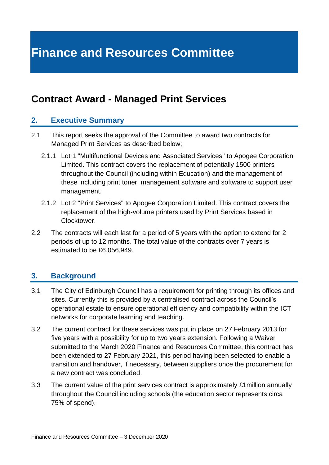# **Finance and Resources Committee**

# **Contract Award - Managed Print Services**

#### **2. Executive Summary**

- 2.1 This report seeks the approval of the Committee to award two contracts for Managed Print Services as described below;
	- 2.1.1 Lot 1 "Multifunctional Devices and Associated Services" to Apogee Corporation Limited. This contract covers the replacement of potentially 1500 printers throughout the Council (including within Education) and the management of these including print toner, management software and software to support user management.
	- 2.1.2 Lot 2 "Print Services" to Apogee Corporation Limited. This contract covers the replacement of the high-volume printers used by Print Services based in Clocktower.
- 2.2 The contracts will each last for a period of 5 years with the option to extend for 2 periods of up to 12 months. The total value of the contracts over 7 years is estimated to be £6,056,949.

## **3. Background**

- 3.1 The City of Edinburgh Council has a requirement for printing through its offices and sites. Currently this is provided by a centralised contract across the Council's operational estate to ensure operational efficiency and compatibility within the ICT networks for corporate learning and teaching.
- 3.2 The current contract for these services was put in place on 27 February 2013 for five years with a possibility for up to two years extension. Following a Waiver submitted to the March 2020 Finance and Resources Committee, this contract has been extended to 27 February 2021, this period having been selected to enable a transition and handover, if necessary, between suppliers once the procurement for a new contract was concluded.
- 3.3 The current value of the print services contract is approximately £1million annually throughout the Council including schools (the education sector represents circa 75% of spend).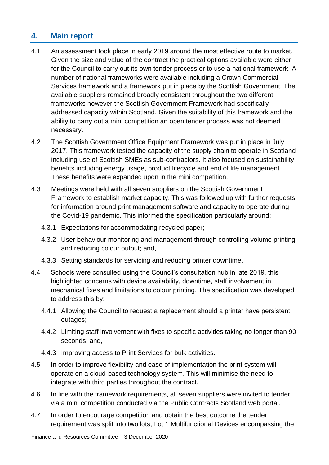# **4. Main report**

- 4.1 An assessment took place in early 2019 around the most effective route to market. Given the size and value of the contract the practical options available were either for the Council to carry out its own tender process or to use a national framework. A number of national frameworks were available including a Crown Commercial Services framework and a framework put in place by the Scottish Government. The available suppliers remained broadly consistent throughout the two different frameworks however the Scottish Government Framework had specifically addressed capacity within Scotland. Given the suitability of this framework and the ability to carry out a mini competition an open tender process was not deemed necessary.
- 4.2 The Scottish Government Office Equipment Framework was put in place in July 2017. This framework tested the capacity of the supply chain to operate in Scotland including use of Scottish SMEs as sub-contractors. It also focused on sustainability benefits including energy usage, product lifecycle and end of life management. These benefits were expanded upon in the mini competition.
- 4.3 Meetings were held with all seven suppliers on the Scottish Government Framework to establish market capacity. This was followed up with further requests for information around print management software and capacity to operate during the Covid-19 pandemic. This informed the specification particularly around;
	- 4.3.1 Expectations for accommodating recycled paper;
	- 4.3.2 User behaviour monitoring and management through controlling volume printing and reducing colour output; and,
	- 4.3.3 Setting standards for servicing and reducing printer downtime.
- 4.4 Schools were consulted using the Council's consultation hub in late 2019, this highlighted concerns with device availability, downtime, staff involvement in mechanical fixes and limitations to colour printing. The specification was developed to address this by;
	- 4.4.1 Allowing the Council to request a replacement should a printer have persistent outages;
	- 4.4.2 Limiting staff involvement with fixes to specific activities taking no longer than 90 seconds; and,
	- 4.4.3 Improving access to Print Services for bulk activities.
- 4.5 In order to improve flexibility and ease of implementation the print system will operate on a cloud-based technology system. This will minimise the need to integrate with third parties throughout the contract.
- 4.6 In line with the framework requirements, all seven suppliers were invited to tender via a mini competition conducted via the Public Contracts Scotland web portal.
- 4.7 In order to encourage competition and obtain the best outcome the tender requirement was split into two lots, Lot 1 Multifunctional Devices encompassing the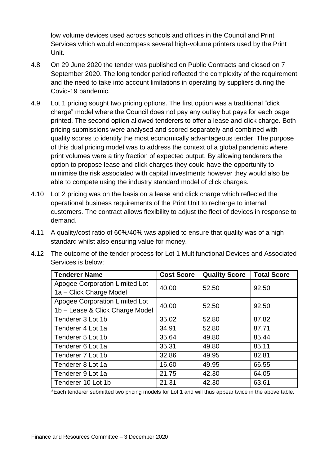low volume devices used across schools and offices in the Council and Print Services which would encompass several high-volume printers used by the Print Unit.

- 4.8 On 29 June 2020 the tender was published on Public Contracts and closed on 7 September 2020. The long tender period reflected the complexity of the requirement and the need to take into account limitations in operating by suppliers during the Covid-19 pandemic.
- 4.9 Lot 1 pricing sought two pricing options. The first option was a traditional "click charge" model where the Council does not pay any outlay but pays for each page printed. The second option allowed tenderers to offer a lease and click charge. Both pricing submissions were analysed and scored separately and combined with quality scores to identify the most economically advantageous tender. The purpose of this dual pricing model was to address the context of a global pandemic where print volumes were a tiny fraction of expected output. By allowing tenderers the option to propose lease and click charges they could have the opportunity to minimise the risk associated with capital investments however they would also be able to compete using the industry standard model of click charges.
- 4.10 Lot 2 pricing was on the basis on a lease and click charge which reflected the operational business requirements of the Print Unit to recharge to internal customers. The contract allows flexibility to adjust the fleet of devices in response to demand.
- 4.11 A quality/cost ratio of 60%/40% was applied to ensure that quality was of a high standard whilst also ensuring value for money.

| 4.12 The outcome of the tender process for Lot 1 Multifunctional Devices and Associated |
|-----------------------------------------------------------------------------------------|
| Services is below;                                                                      |

| <b>Tenderer Name</b>            | <b>Cost Score</b> | <b>Quality Score</b> | <b>Total Score</b> |
|---------------------------------|-------------------|----------------------|--------------------|
| Apogee Corporation Limited Lot  | 40.00             | 52.50                | 92.50              |
| 1a - Click Charge Model         |                   |                      |                    |
| Apogee Corporation Limited Lot  | 40.00             | 52.50                | 92.50              |
| 1b - Lease & Click Charge Model |                   |                      |                    |
| Tenderer 3 Lot 1b               | 35.02             | 52.80                | 87.82              |
| Tenderer 4 Lot 1a               | 34.91             | 52.80                | 87.71              |
| Tenderer 5 Lot 1b               | 35.64             | 49.80                | 85.44              |
| Tenderer 6 Lot 1a               | 35.31             | 49.80                | 85.11              |
| Tenderer 7 Lot 1b               | 32.86             | 49.95                | 82.81              |
| Tenderer 8 Lot 1a               | 16.60             | 49.95                | 66.55              |
| Tenderer 9 Lot 1a               | 21.75             | 42.30                | 64.05              |
| Tenderer 10 Lot 1b              | 21.31             | 42.30                | 63.61              |

\*Each tenderer submitted two pricing models for Lot 1 and will thus appear twice in the above table.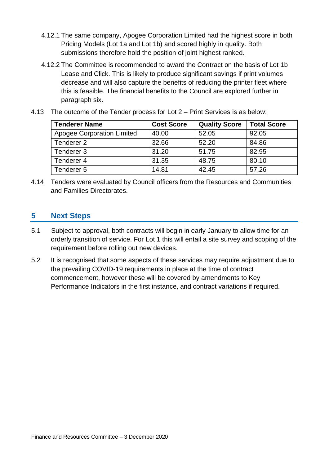- 4.12.1 The same company, Apogee Corporation Limited had the highest score in both Pricing Models (Lot 1a and Lot 1b) and scored highly in quality. Both submissions therefore hold the position of joint highest ranked.
- 4.12.2 The Committee is recommended to award the Contract on the basis of Lot 1b Lease and Click. This is likely to produce significant savings if print volumes decrease and will also capture the benefits of reducing the printer fleet where this is feasible. The financial benefits to the Council are explored further in paragraph six.

| <b>Tenderer Name</b>              | <b>Cost Score</b> | <b>Quality Score</b> | <b>Total Score</b> |
|-----------------------------------|-------------------|----------------------|--------------------|
| <b>Apogee Corporation Limited</b> | 40.00             | 52.05                | 92.05              |
| Tenderer 2                        | 32.66             | 52.20                | 84.86              |
| Tenderer 3                        | 31.20             | 51.75                | 82.95              |
| Tenderer 4                        | 31.35             | 48.75                | 80.10              |
| Tenderer 5                        | 14.81             | 42.45                | 57.26              |

4.13 The outcome of the Tender process for Lot 2 – Print Services is as below;

4.14 Tenders were evaluated by Council officers from the Resources and Communities and Families Directorates.

## **5 Next Steps**

- 5.1 Subject to approval, both contracts will begin in early January to allow time for an orderly transition of service. For Lot 1 this will entail a site survey and scoping of the requirement before rolling out new devices.
- 5.2 It is recognised that some aspects of these services may require adjustment due to the prevailing COVID-19 requirements in place at the time of contract commencement, however these will be covered by amendments to Key Performance Indicators in the first instance, and contract variations if required.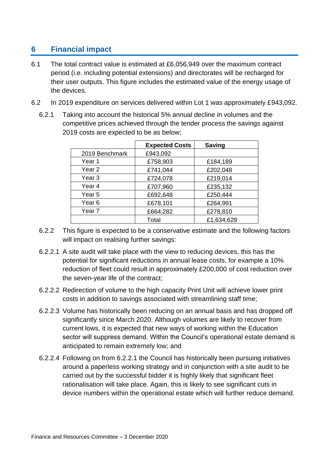# **6 Financial impact**

- 6.1 The total contract value is estimated at £6,056,949 over the maximum contract period (i.e. including potential extensions) and directorates will be recharged for their user outputs. This figure includes the estimated value of the energy usage of the devices.
- 6.2 In 2019 expenditure on services delivered within Lot 1 was approximately £943,092.
	- 6.2.1 Taking into account the historical 5% annual decline in volumes and the competitive prices achieved through the tender process the savings against 2019 costs are expected to be as below;

|                   | <b>Expected Costs</b> | <b>Saving</b> |
|-------------------|-----------------------|---------------|
| 2019 Benchmark    | £943,092              |               |
| Year 1            | £758,903              | £184,189      |
| Year 2            | £741,044              | £202,048      |
| Year 3            | £724,078              | £219,014      |
| Year 4            | £707,960              | £235,132      |
| Year 5            | £692,648              | £250,444      |
| Year <sub>6</sub> | £678,101              | £264,991      |
| Year <sub>7</sub> | £664,282              | £278,810      |
|                   | Total                 | £1,634,629    |

- 6.2.2 This figure is expected to be a conservative estimate and the following factors will impact on realising further savings:
- <span id="page-5-0"></span>6.2.2.1 A site audit will take place with the view to reducing devices, this has the potential for significant reductions in annual lease costs, for example a 10% reduction of fleet could result in approximately £200,000 of cost reduction over the seven-year life of the contract;
- 6.2.2.2 Redirection of volume to the high capacity Print Unit will achieve lower print costs in addition to savings associated with streamlining staff time;
- 6.2.2.3 Volume has historically been reducing on an annual basis and has dropped off significantly since March 2020. Although volumes are likely to recover from current lows, it is expected that new ways of working within the Education sector will suppress demand. Within the Council's operational estate demand is anticipated to remain extremely low; and
- 6.2.2.4 Following on from [6.2.2.1](#page-5-0) the Council has historically been pursuing initiatives around a paperless working strategy and in conjunction with a site audit to be carried out by the successful bidder it is highly likely that significant fleet rationalisation will take place. Again, this is likely to see significant cuts in device numbers within the operational estate which will further reduce demand.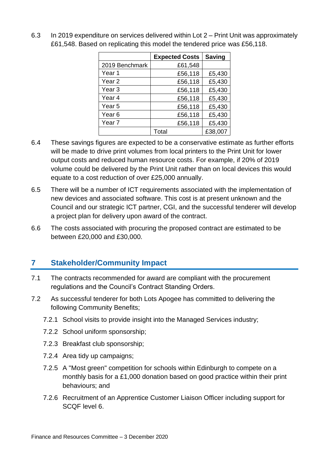|                   | <b>Expected Costs</b> | <b>Saving</b> |
|-------------------|-----------------------|---------------|
| 2019 Benchmark    | £61,548               |               |
| Year 1            | £56,118               | £5,430        |
| Year 2            | £56,118               | £5,430        |
| Year <sub>3</sub> | £56,118               | £5,430        |
| Year 4            | £56,118               | £5,430        |
| Year 5            | £56,118               | £5,430        |
| Year <sub>6</sub> | £56,118               | £5,430        |
| Year <sub>7</sub> | £56,118               | £5,430        |
|                   | Total                 | £38,007       |

6.3 In 2019 expenditure on services delivered within Lot 2 – Print Unit was approximately £61,548. Based on replicating this model the tendered price was £56,118.

- 6.4 These savings figures are expected to be a conservative estimate as further efforts will be made to drive print volumes from local printers to the Print Unit for lower output costs and reduced human resource costs. For example, if 20% of 2019 volume could be delivered by the Print Unit rather than on local devices this would equate to a cost reduction of over £25,000 annually.
- 6.5 There will be a number of ICT requirements associated with the implementation of new devices and associated software. This cost is at present unknown and the Council and our strategic ICT partner, CGI, and the successful tenderer will develop a project plan for delivery upon award of the contract.
- 6.6 The costs associated with procuring the proposed contract are estimated to be between £20,000 and £30,000.

# **7 Stakeholder/Community Impact**

- 7.1 The contracts recommended for award are compliant with the procurement regulations and the Council's Contract Standing Orders.
- 7.2 As successful tenderer for both Lots Apogee has committed to delivering the following Community Benefits;
	- 7.2.1 School visits to provide insight into the Managed Services industry;
	- 7.2.2 School uniform sponsorship;
	- 7.2.3 Breakfast club sponsorship;
	- 7.2.4 Area tidy up campaigns;
	- 7.2.5 A "Most green" competition for schools within Edinburgh to compete on a monthly basis for a £1,000 donation based on good practice within their print behaviours; and
	- 7.2.6 Recruitment of an Apprentice Customer Liaison Officer including support for SCQF level 6.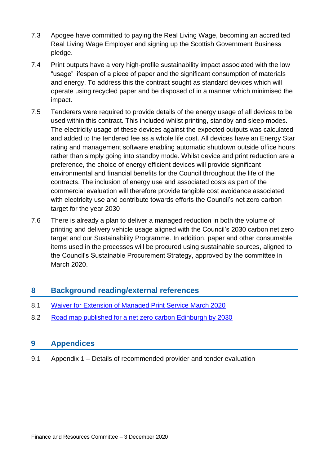- 7.3 Apogee have committed to paying the Real Living Wage, becoming an accredited Real Living Wage Employer and signing up the Scottish Government Business pledge.
- 7.4 Print outputs have a very high-profile sustainability impact associated with the low "usage" lifespan of a piece of paper and the significant consumption of materials and energy. To address this the contract sought as standard devices which will operate using recycled paper and be disposed of in a manner which minimised the impact.
- 7.5 Tenderers were required to provide details of the energy usage of all devices to be used within this contract. This included whilst printing, standby and sleep modes. The electricity usage of these devices against the expected outputs was calculated and added to the tendered fee as a whole life cost. All devices have an Energy Star rating and management software enabling automatic shutdown outside office hours rather than simply going into standby mode. Whilst device and print reduction are a preference, the choice of energy efficient devices will provide significant environmental and financial benefits for the Council throughout the life of the contracts. The inclusion of energy use and associated costs as part of the commercial evaluation will therefore provide tangible cost avoidance associated with electricity use and contribute towards efforts the Council's net zero carbon target for the year 2030
- 7.6 There is already a plan to deliver a managed reduction in both the volume of printing and delivery vehicle usage aligned with the Council's 2030 carbon net zero target and our Sustainability Programme. In addition, paper and other consumable items used in the processes will be procured using sustainable sources, aligned to the Council's Sustainable Procurement Strategy, approved by the committee in March 2020.

## **8 Background reading/external references**

- 8.1 [Waiver for Extension of Managed Print Service March 2020](https://democracy.edinburgh.gov.uk/mgIssueHistoryHome.aspx?IId=10688)
- 8.2 [Road map published for a net zero carbon Edinburgh by 2030](https://www.edinburgh.gov.uk/news/article/12726/road-map-published-for-a-net-zero-carbon-edinburgh-by-2030)

## **9 Appendices**

9.1 Appendix 1 – Details of recommended provider and tender evaluation